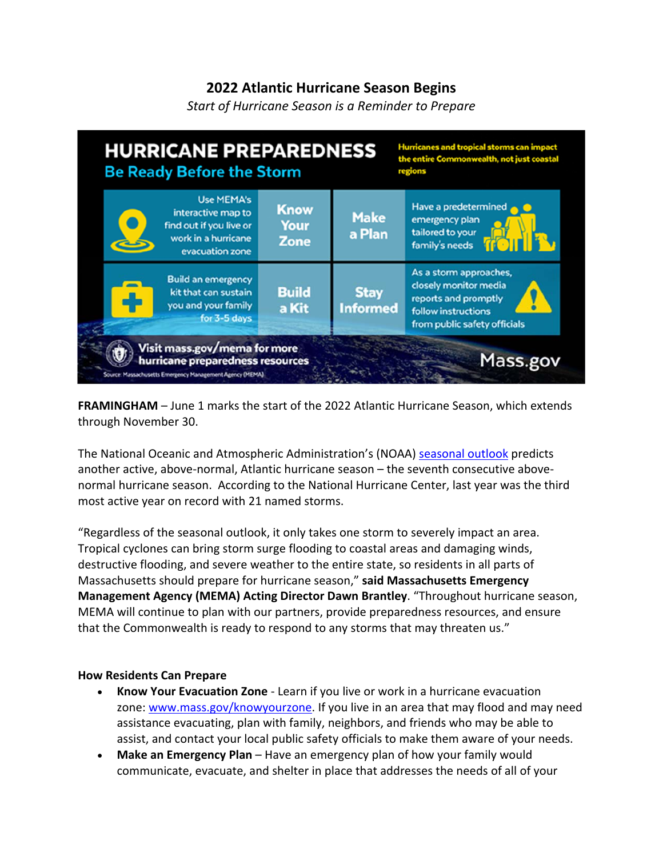## **2022 Atlantic Hurricane Season Begins**

*Start of Hurricane Season is a Reminder to Prepare*



**FRAMINGHAM** – June 1 marks the start of the 2022 Atlantic Hurricane Season, which extends through November 30.

The National Oceanic and Atmospheric Administration's (NOAA) seasonal outlook predicts another active, above-normal, Atlantic hurricane season – the seventh consecutive abovenormal hurricane season. According to the National Hurricane Center, last year was the third most active year on record with 21 named storms.

"Regardless of the seasonal outlook, it only takes one storm to severely impact an area. Tropical cyclones can bring storm surge flooding to coastal areas and damaging winds, destructive flooding, and severe weather to the entire state, so residents in all parts of Massachusetts should prepare for hurricane season," **said Massachusetts Emergency Management Agency (MEMA) Acting Director Dawn Brantley**. "Throughout hurricane season, MEMA will continue to plan with our partners, provide preparedness resources, and ensure that the Commonwealth is ready to respond to any storms that may threaten us."

## **How Residents Can Prepare**

- **Know Your Evacuation Zone** Learn if you live or work in a hurricane evacuation zone: www.mass.gov/knowyourzone. If you live in an area that may flood and may need assistance evacuating, plan with family, neighbors, and friends who may be able to assist, and contact your local public safety officials to make them aware of your needs.
- **Make an Emergency Plan** Have an emergency plan of how your family would communicate, evacuate, and shelter in place that addresses the needs of all of your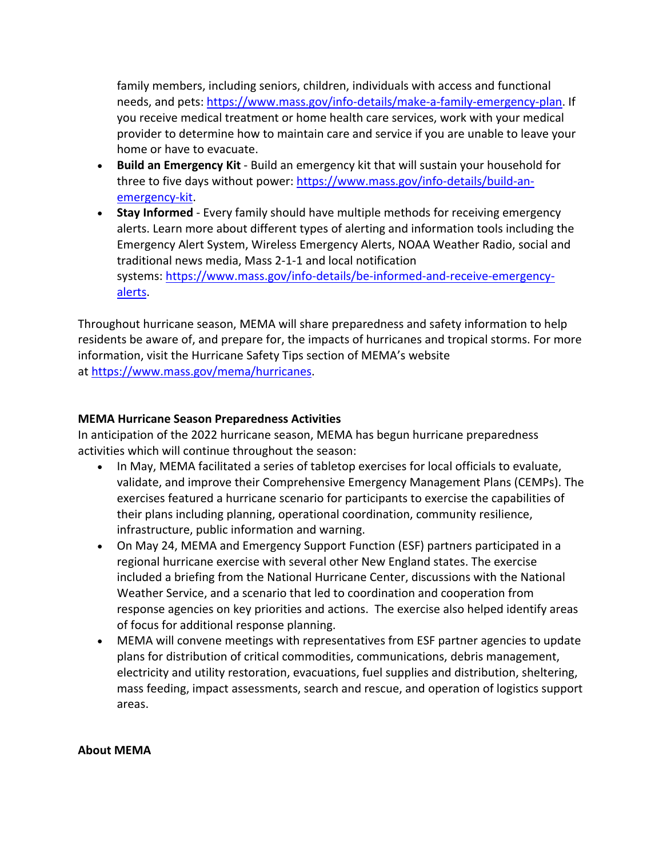family members, including seniors, children, individuals with access and functional needs, and pets: https://www.mass.gov/info-details/make-a-family-emergency-plan. If you receive medical treatment or home health care services, work with your medical provider to determine how to maintain care and service if you are unable to leave your home or have to evacuate.

- **Build an Emergency Kit** Build an emergency kit that will sustain your household for three to five days without power: https://www.mass.gov/info-details/build-anemergency-kit.
- **Stay Informed** Every family should have multiple methods for receiving emergency alerts. Learn more about different types of alerting and information tools including the Emergency Alert System, Wireless Emergency Alerts, NOAA Weather Radio, social and traditional news media, Mass 2-1-1 and local notification systems: https://www.mass.gov/info-details/be-informed-and-receive-emergencyalerts.

Throughout hurricane season, MEMA will share preparedness and safety information to help residents be aware of, and prepare for, the impacts of hurricanes and tropical storms. For more information, visit the Hurricane Safety Tips section of MEMA's website at https://www.mass.gov/mema/hurricanes.

## **MEMA Hurricane Season Preparedness Activities**

In anticipation of the 2022 hurricane season, MEMA has begun hurricane preparedness activities which will continue throughout the season:

- In May, MEMA facilitated a series of tabletop exercises for local officials to evaluate, validate, and improve their Comprehensive Emergency Management Plans (CEMPs). The exercises featured a hurricane scenario for participants to exercise the capabilities of their plans including planning, operational coordination, community resilience, infrastructure, public information and warning.
- On May 24, MEMA and Emergency Support Function (ESF) partners participated in a regional hurricane exercise with several other New England states. The exercise included a briefing from the National Hurricane Center, discussions with the National Weather Service, and a scenario that led to coordination and cooperation from response agencies on key priorities and actions. The exercise also helped identify areas of focus for additional response planning.
- MEMA will convene meetings with representatives from ESF partner agencies to update plans for distribution of critical commodities, communications, debris management, electricity and utility restoration, evacuations, fuel supplies and distribution, sheltering, mass feeding, impact assessments, search and rescue, and operation of logistics support areas.

## **About MEMA**